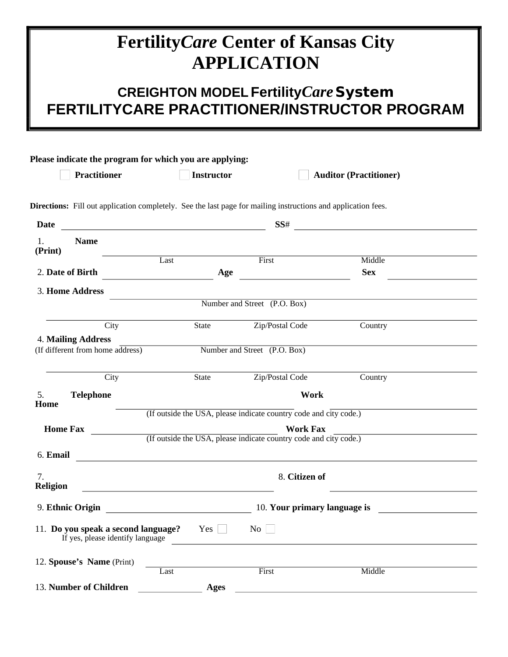# **Fertility Care Center of Kansas City APPLICATION**

### **CREIGHTON MODEL Fertility Care System** FERTILITYCARE PRACTITIONER/INSTRUCTOR PROGRAM

|                                                                                                                                      |                                                                                                                      |             | Directions: Fill out application completely. See the last page for mailing instructions and application fees. |            |
|--------------------------------------------------------------------------------------------------------------------------------------|----------------------------------------------------------------------------------------------------------------------|-------------|---------------------------------------------------------------------------------------------------------------|------------|
| <b>Date</b><br><u> 1989 - Johann Harry Harry Harry Harry Harry Harry Harry Harry Harry Harry Harry Harry Harry Harry Harry Harry</u> |                                                                                                                      |             |                                                                                                               |            |
| 1.<br><b>Name</b><br>(Print)                                                                                                         |                                                                                                                      |             |                                                                                                               |            |
|                                                                                                                                      | Last                                                                                                                 |             | First                                                                                                         | Middle     |
| 2. Date of Birth                                                                                                                     |                                                                                                                      | Age         |                                                                                                               | <b>Sex</b> |
| 3. Home Address                                                                                                                      |                                                                                                                      |             |                                                                                                               |            |
|                                                                                                                                      |                                                                                                                      |             | Number and Street (P.O. Box)                                                                                  |            |
| City                                                                                                                                 |                                                                                                                      | State       | Zip/Postal Code                                                                                               | Country    |
| 4. Mailing Address                                                                                                                   |                                                                                                                      |             |                                                                                                               |            |
| (If different from home address)                                                                                                     |                                                                                                                      |             | Number and Street (P.O. Box)                                                                                  |            |
| City                                                                                                                                 |                                                                                                                      | State       | Zip/Postal Code                                                                                               | Country    |
| <b>Telephone</b><br>Home                                                                                                             |                                                                                                                      |             | Work                                                                                                          |            |
|                                                                                                                                      |                                                                                                                      |             | (If outside the USA, please indicate country code and city code.)                                             |            |
| <b>Home Fax</b>                                                                                                                      |                                                                                                                      |             | <b>Work Fax</b>                                                                                               |            |
|                                                                                                                                      |                                                                                                                      |             | (If outside the USA, please indicate country code and city code.)                                             |            |
| 6. Email<br><u> 1989 - John Stein, Amerikaansk politiker (</u>                                                                       |                                                                                                                      |             |                                                                                                               |            |
| 7.<br><b>Religion</b>                                                                                                                | <u> 1980 - Johann Barn, marwolaethau a bhann an t-Alban an t-Alban an t-Alban an t-Alban an t-Alban an t-Alban a</u> |             | 8. Citizen of                                                                                                 |            |
|                                                                                                                                      |                                                                                                                      |             |                                                                                                               |            |
| 11. Do you speak a second language? $Yes$ $\Box$ No $\Box$<br>If yes, please identify language                                       |                                                                                                                      |             |                                                                                                               |            |
| 12. Spouse's Name (Print)                                                                                                            |                                                                                                                      |             |                                                                                                               |            |
|                                                                                                                                      | Last                                                                                                                 |             | First                                                                                                         | Middle     |
| 13. Number of Children                                                                                                               |                                                                                                                      | <b>Ages</b> |                                                                                                               |            |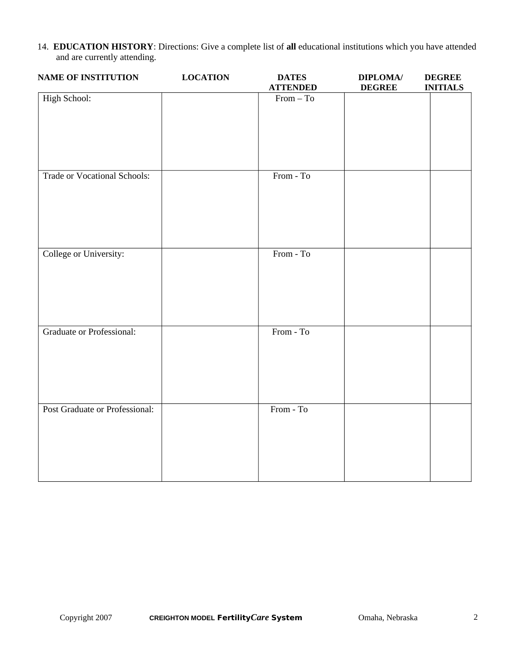14. EDUCATION HISTORY: Directions: Give a complete list of all educational institutions which you have attended and are currently attending.

| <b>NAME OF INSTITUTION</b>          | <b>LOCATION</b> | <b>DATES</b><br><b>ATTENDED</b> | <b>DIPLOMA</b> /<br><b>DEGREE</b> | <b>DEGREE</b><br><b>INITIALS</b> |
|-------------------------------------|-----------------|---------------------------------|-----------------------------------|----------------------------------|
| <b>High School:</b>                 |                 | $From - To$                     |                                   |                                  |
| <b>Trade or Vocational Schools:</b> |                 | From - To                       |                                   |                                  |
| College or University:              |                 | From - To                       |                                   |                                  |
| <b>Graduate or Professional:</b>    |                 | From - To                       |                                   |                                  |
| Post Graduate or Professional:      |                 | From - To                       |                                   |                                  |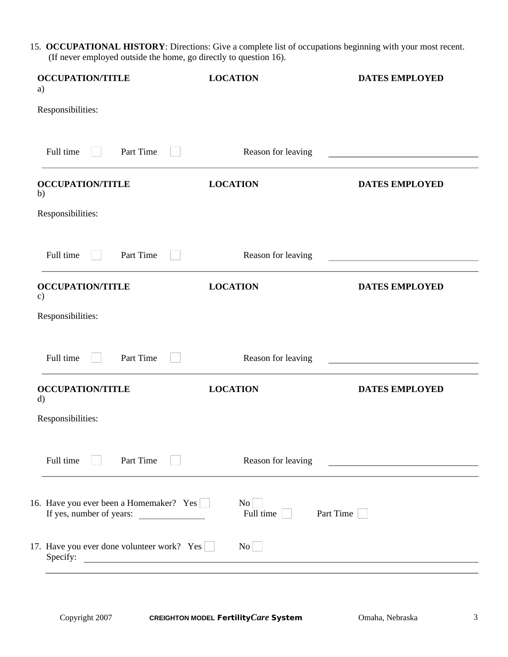15. OCCUPATIONAL HISTORY: Directions: Give a complete list of occupations beginning with your most recent. (If never employed outside the home, go directly to question 16).

| <b>OCCUPATION/TITLE</b><br>a)                          | <b>LOCATION</b>                 | <b>DATES EMPLOYED</b>                         |
|--------------------------------------------------------|---------------------------------|-----------------------------------------------|
| Responsibilities:                                      |                                 |                                               |
| Full time<br>Part Time                                 | Reason for leaving              |                                               |
| <b>OCCUPATION/TITLE</b><br>b)                          | <b>LOCATION</b>                 | <b>DATES EMPLOYED</b>                         |
| Responsibilities:                                      |                                 |                                               |
| Part Time<br>Full time                                 | Reason for leaving              |                                               |
| <b>OCCUPATION/TITLE</b><br>c)                          | <b>LOCATION</b>                 | <b>DATES EMPLOYED</b>                         |
| Responsibilities:                                      |                                 |                                               |
| Full time<br>Part Time                                 | Reason for leaving              |                                               |
| <b>OCCUPATION/TITLE</b><br>d)                          | <b>LOCATION</b>                 | <b>DATES EMPLOYED</b>                         |
| Responsibilities:                                      |                                 |                                               |
| Full time<br>Part Time                                 | Reason for leaving              | <u> 1989 - Andrea Andrew Maria (h. 1989).</u> |
| 16. Have you ever been a Homemaker? Yes                | $\overline{N_{0}}$<br>Full time | Part Time                                     |
| 17. Have you ever done volunteer work? Yes<br>Specify: | $\overline{N_0}$                |                                               |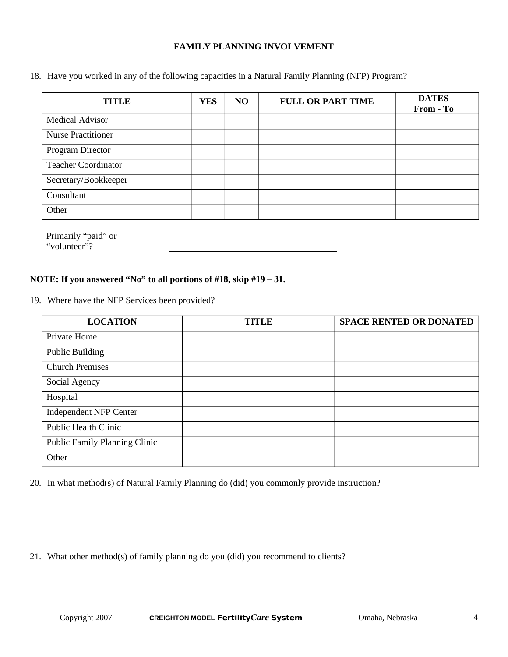#### **FAMILY PLANNING INVOLVEMENT**

18. Have you worked in any of the following capacities in a Natural Family Planning (NFP) Program?

| <b>TITLE</b>               | <b>YES</b> | N <sub>O</sub> | <b>FULL OR PART TIME</b> | <b>DATES</b><br>From - To |
|----------------------------|------------|----------------|--------------------------|---------------------------|
| <b>Medical Advisor</b>     |            |                |                          |                           |
| <b>Nurse Practitioner</b>  |            |                |                          |                           |
| Program Director           |            |                |                          |                           |
| <b>Teacher Coordinator</b> |            |                |                          |                           |
| Secretary/Bookkeeper       |            |                |                          |                           |
| Consultant                 |            |                |                          |                           |
| Other                      |            |                |                          |                           |

Primarily "paid" or "volunteer"?

#### NOTE: If you answered "No" to all portions of #18, skip #19 - 31.

19. Where have the NFP Services been provided?

| <b>LOCATION</b>               | <b>TITLE</b> | <b>SPACE RENTED OR DONATED</b> |
|-------------------------------|--------------|--------------------------------|
| Private Home                  |              |                                |
| <b>Public Building</b>        |              |                                |
| <b>Church Premises</b>        |              |                                |
| Social Agency                 |              |                                |
| Hospital                      |              |                                |
| <b>Independent NFP Center</b> |              |                                |
| <b>Public Health Clinic</b>   |              |                                |
| Public Family Planning Clinic |              |                                |
| Other                         |              |                                |

20. In what method(s) of Natural Family Planning do (did) you commonly provide instruction?

21. What other method(s) of family planning do you (did) you recommend to clients?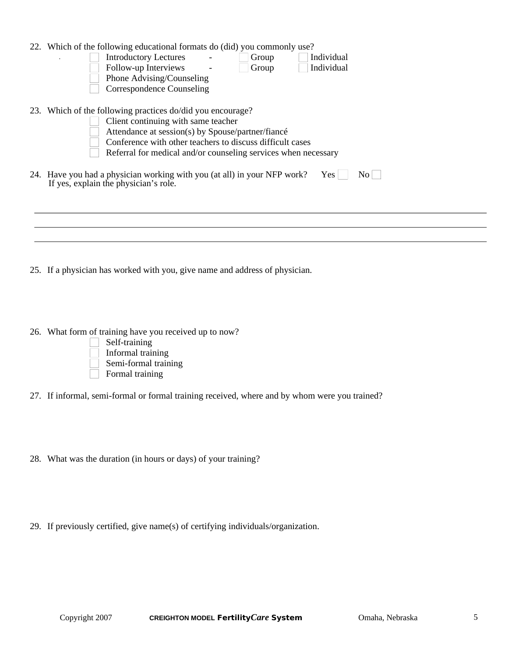| 22. Which of the following educational formats do (did) you commonly use?<br><b>Introductory Lectures</b><br>Individual<br>Group<br>Follow-up Interviews<br>Individual<br>Group<br>Phone Advising/Counseling<br><b>Correspondence Counseling</b> |
|--------------------------------------------------------------------------------------------------------------------------------------------------------------------------------------------------------------------------------------------------|
| 23. Which of the following practices do/did you encourage?                                                                                                                                                                                       |
| Client continuing with same teacher<br>Attendance at session(s) by Spouse/partner/fiancé                                                                                                                                                         |
| Conference with other teachers to discuss difficult cases                                                                                                                                                                                        |
| Referral for medical and/or counseling services when necessary                                                                                                                                                                                   |
| 24. Have you had a physician working with you (at all) in your NFP work?<br>Yes  <br>No l<br>If yes, explain the physician's role.                                                                                                               |
|                                                                                                                                                                                                                                                  |
|                                                                                                                                                                                                                                                  |
|                                                                                                                                                                                                                                                  |
|                                                                                                                                                                                                                                                  |

- 25. If a physician has worked with you, give name and address of physician.
- 26. What form of training have you received up to now?



- 27. If informal, semi-formal or formal training received, where and by whom were you trained?
- 28. What was the duration (in hours or days) of your training?
- 29. If previously certified, give name(s) of certifying individuals/organization.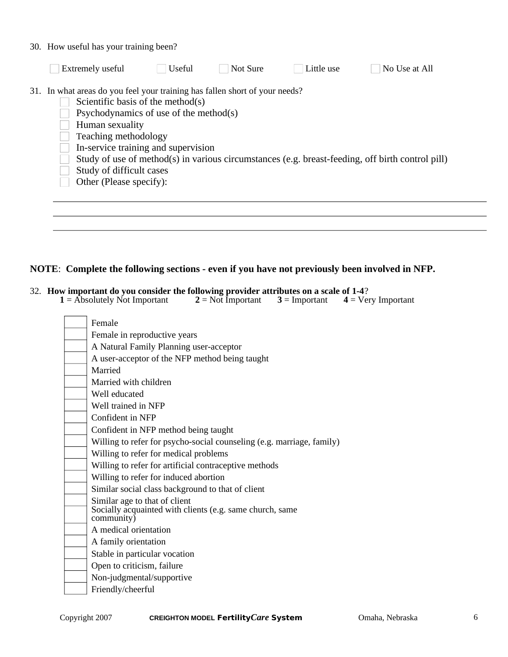|  |  |  |  |  |  | 30. How useful has your training been? |  |
|--|--|--|--|--|--|----------------------------------------|--|
|--|--|--|--|--|--|----------------------------------------|--|

| Extremely useful                                                                                                                                                                                                                                                                                    | Useful | Not Sure | Little use | No Use at All                                                                                    |
|-----------------------------------------------------------------------------------------------------------------------------------------------------------------------------------------------------------------------------------------------------------------------------------------------------|--------|----------|------------|--------------------------------------------------------------------------------------------------|
| 31. In what areas do you feel your training has fallen short of your needs?<br>Scientific basis of the method(s)<br>Psychodynamics of use of the method(s)<br>Human sexuality<br>Teaching methodology<br>In-service training and supervision<br>Study of difficult cases<br>Other (Please specify): |        |          |            | Study of use of method(s) in various circumstances (e.g. breast-feeding, off birth control pill) |
|                                                                                                                                                                                                                                                                                                     |        |          |            |                                                                                                  |

#### NOTE: Complete the following sections - even if you have not previously been involved in NFP.

# 32. How important do you consider the following provider attributes on a scale of 1-4?<br>1 = Absolutely Not Important 2 = Not Important 3 = Important 4 = Ver

 $4 = V$ ery Important

| Female                                                                 |
|------------------------------------------------------------------------|
| Female in reproductive years                                           |
| A Natural Family Planning user-acceptor                                |
| A user-acceptor of the NFP method being taught                         |
| Married                                                                |
| Married with children                                                  |
| Well educated                                                          |
| Well trained in NFP                                                    |
| Confident in NFP                                                       |
| Confident in NFP method being taught                                   |
| Willing to refer for psycho-social counseling (e.g. marriage, family)  |
| Willing to refer for medical problems                                  |
| Willing to refer for artificial contraceptive methods                  |
| Willing to refer for induced abortion                                  |
| Similar social class background to that of client                      |
| Similar age to that of client                                          |
| Socially acquainted with clients (e.g. same church, same<br>community) |
| A medical orientation                                                  |
| A family orientation                                                   |
| Stable in particular vocation                                          |
| Open to criticism, failure                                             |
| Non-judgmental/supportive                                              |
| Friendly/cheerful                                                      |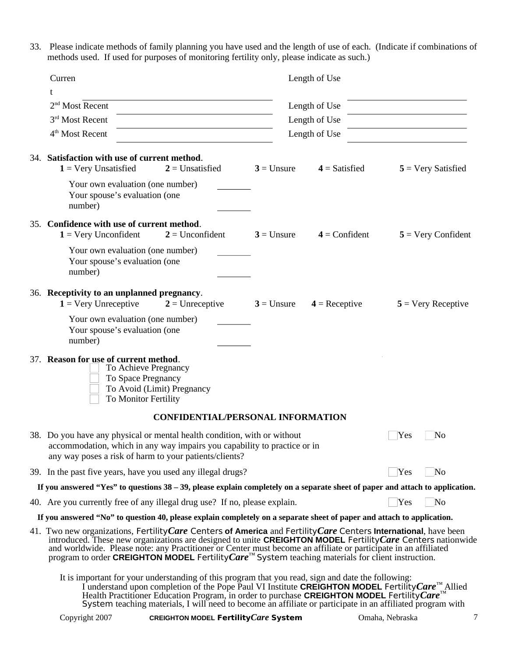33. Please indicate methods of family planning you have used and the length of use of each. (Indicate if combinations of methods used. If used for purposes of monitoring fertility only, please indicate as such.)

| Curren                                                                                                                                                                                                                                                                                                                                                                                                                                                                                       |              | Length of Use   |     |                             |
|----------------------------------------------------------------------------------------------------------------------------------------------------------------------------------------------------------------------------------------------------------------------------------------------------------------------------------------------------------------------------------------------------------------------------------------------------------------------------------------------|--------------|-----------------|-----|-----------------------------|
| t                                                                                                                                                                                                                                                                                                                                                                                                                                                                                            |              |                 |     |                             |
| 2 <sup>nd</sup> Most Recent                                                                                                                                                                                                                                                                                                                                                                                                                                                                  |              | Length of Use   |     |                             |
| 3rd Most Recent                                                                                                                                                                                                                                                                                                                                                                                                                                                                              |              | Length of Use   |     |                             |
| 4 <sup>th</sup> Most Recent                                                                                                                                                                                                                                                                                                                                                                                                                                                                  |              | Length of Use   |     |                             |
|                                                                                                                                                                                                                                                                                                                                                                                                                                                                                              |              |                 |     |                             |
| 34. Satisfaction with use of current method.<br>$1 = \text{Very Unsatisfied}$<br>$2$ = Unsatisfied                                                                                                                                                                                                                                                                                                                                                                                           | $3 =$ Unsure | $4 =$ Satisfied |     | $5 = \text{Very Satisfied}$ |
| Your own evaluation (one number)<br>Your spouse's evaluation (one<br>number)                                                                                                                                                                                                                                                                                                                                                                                                                 |              |                 |     |                             |
| 35. Confidence with use of current method.                                                                                                                                                                                                                                                                                                                                                                                                                                                   |              |                 |     |                             |
| $1 = \text{Very Unconfident}$<br>$2 = Unconfident$                                                                                                                                                                                                                                                                                                                                                                                                                                           | $3 =$ Unsure | $4 =$ Confident |     | $5 = \text{Very}$ Confident |
| Your own evaluation (one number)<br>Your spouse's evaluation (one<br>number)                                                                                                                                                                                                                                                                                                                                                                                                                 |              |                 |     |                             |
| 36. Receptivity to an unplanned pregnancy.<br>$1 = \text{Very Unreceptive}$<br>$2 =$ Unreceptive                                                                                                                                                                                                                                                                                                                                                                                             | $3 =$ Unsure | $4 =$ Receptive |     | $5 = \text{Very Receptive}$ |
| Your own evaluation (one number)<br>Your spouse's evaluation (one<br>number)                                                                                                                                                                                                                                                                                                                                                                                                                 |              |                 |     |                             |
| 37. Reason for use of current method.<br>To Achieve Pregnancy<br>To Space Pregnancy<br>To Avoid (Limit) Pregnancy<br>To Monitor Fertility                                                                                                                                                                                                                                                                                                                                                    |              |                 |     |                             |
| <b>CONFIDENTIAL/PERSONAL INFORMATION</b>                                                                                                                                                                                                                                                                                                                                                                                                                                                     |              |                 |     |                             |
| 38. Do you have any physical or mental health condition, with or without<br>accommodation, which in any way impairs you capability to practice or in<br>any way poses a risk of harm to your patients/clients?                                                                                                                                                                                                                                                                               |              |                 | Yes | $\Box$ No                   |
| 39. In the past five years, have you used any illegal drugs?                                                                                                                                                                                                                                                                                                                                                                                                                                 |              |                 | Yes | No                          |
| If you answered "Yes" to questions 38 – 39, please explain completely on a separate sheet of paper and attach to application.                                                                                                                                                                                                                                                                                                                                                                |              |                 |     |                             |
| 40. Are you currently free of any illegal drug use? If no, please explain.                                                                                                                                                                                                                                                                                                                                                                                                                   |              |                 | Yes | No                          |
| If you answered "No" to question 40, please explain completely on a separate sheet of paper and attach to application.                                                                                                                                                                                                                                                                                                                                                                       |              |                 |     |                             |
| 41. Two new organizations, Fertility Care Centers of America and Fertility Care Centers International, have been<br>introduced. These new organizations are designed to unite CREIGHTON MODEL Fertility Care Centers nationwide and worldwide. Please note: any Practitioner or Center must become an affiliate or participate in an affiliated<br>program to order <b>CREIGHTON MODEL</b> Fertility <i>Care</i> <sup><math>M</math></sup> System teaching materials for client instruction. |              |                 |     |                             |
| It is important for your understanding of this program that you read, sign and date the following:<br>I understand upon completion of the Pope Paul VI Institute CREIGHTON MODEL Fertility Care <sup>TM</sup> Allied                                                                                                                                                                                                                                                                         |              |                 |     |                             |

Health Practitioner Education Program, in order to purchase CREIGHTON MODEL Fertility Care<sup>™</sup><br>System teaching materials, I will need to become an affiliate or participate in an affiliated program with